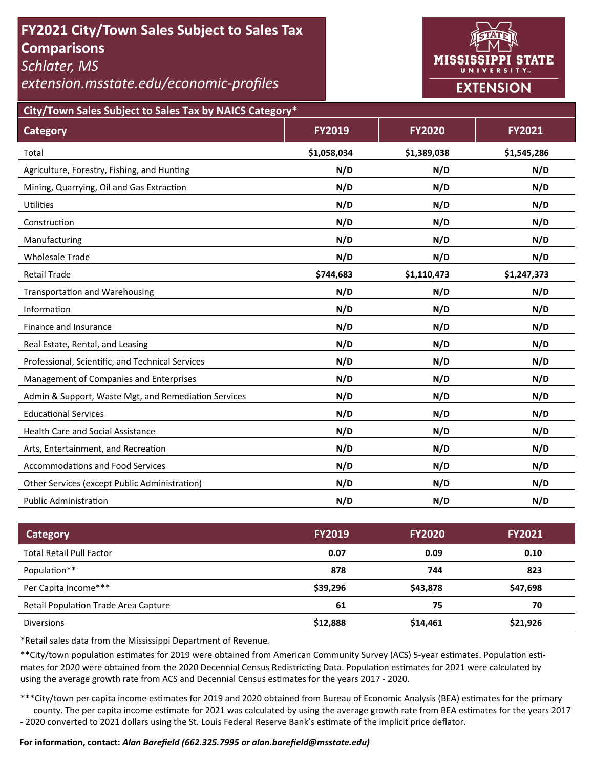# **FY2021 City/Town Sales Subject to Sales Tax Comparisons**

*Schlater, MS* 

*extension.msstate.edu/economic‐profiles* 



**City/Town Sales Subject to Sales Tax by NAICS Category\***

| <b>Category</b>                                      | <b>FY2019</b> | <b>FY2020</b> | FY2021      |
|------------------------------------------------------|---------------|---------------|-------------|
| Total                                                | \$1,058,034   | \$1,389,038   | \$1,545,286 |
| Agriculture, Forestry, Fishing, and Hunting          | N/D           | N/D           | N/D         |
| Mining, Quarrying, Oil and Gas Extraction            | N/D           | N/D           | N/D         |
| Utilities                                            | N/D           | N/D           | N/D         |
| Construction                                         | N/D           | N/D           | N/D         |
| Manufacturing                                        | N/D           | N/D           | N/D         |
| <b>Wholesale Trade</b>                               | N/D           | N/D           | N/D         |
| <b>Retail Trade</b>                                  | \$744,683     | \$1,110,473   | \$1,247,373 |
| <b>Transportation and Warehousing</b>                | N/D           | N/D           | N/D         |
| Information                                          | N/D           | N/D           | N/D         |
| Finance and Insurance                                | N/D           | N/D           | N/D         |
| Real Estate, Rental, and Leasing                     | N/D           | N/D           | N/D         |
| Professional, Scientific, and Technical Services     | N/D           | N/D           | N/D         |
| Management of Companies and Enterprises              | N/D           | N/D           | N/D         |
| Admin & Support, Waste Mgt, and Remediation Services | N/D           | N/D           | N/D         |
| <b>Educational Services</b>                          | N/D           | N/D           | N/D         |
| <b>Health Care and Social Assistance</b>             | N/D           | N/D           | N/D         |
| Arts, Entertainment, and Recreation                  | N/D           | N/D           | N/D         |
| <b>Accommodations and Food Services</b>              | N/D           | N/D           | N/D         |
| Other Services (except Public Administration)        | N/D           | N/D           | N/D         |
| <b>Public Administration</b>                         | N/D           | N/D           | N/D         |

| Category                                    | <b>FY2019</b> | <b>FY2020</b> | <b>FY2021</b> |
|---------------------------------------------|---------------|---------------|---------------|
| <b>Total Retail Pull Factor</b>             | 0.07          | 0.09          | 0.10          |
| Population**                                | 878           | 744           | 823           |
| Per Capita Income***                        | \$39,296      | \$43,878      | \$47,698      |
| <b>Retail Population Trade Area Capture</b> | 61            | 75            | 70            |
| <b>Diversions</b>                           | \$12,888      | \$14,461      | \$21,926      |

\*Retail sales data from the Mississippi Department of Revenue*.* 

\*\*City/town population estimates for 2019 were obtained from American Community Survey (ACS) 5-year estimates. Population estimates for 2020 were obtained from the 2020 Decennial Census Redistricting Data. Population estimates for 2021 were calculated by using the average growth rate from ACS and Decennial Census estimates for the years 2017 - 2020.

\*\*\*City/town per capita income estimates for 2019 and 2020 obtained from Bureau of Economic Analysis (BEA) estimates for the primary county. The per capita income estimate for 2021 was calculated by using the average growth rate from BEA estimates for the years 2017 - 2020 converted to 2021 dollars using the St. Louis Federal Reserve Bank's estimate of the implicit price deflator.

### **For informaƟon, contact:** *Alan Barefield (662.325.7995 or alan.barefield@msstate.edu)*